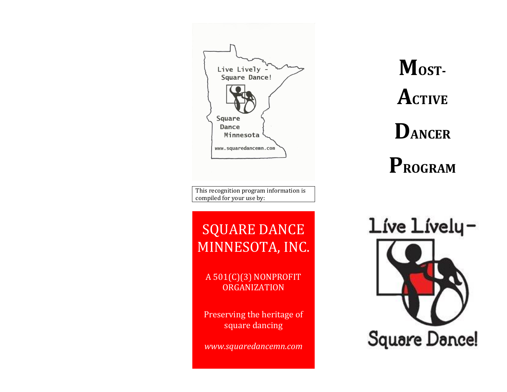Live Lively  $-$ Square Dance! Square Dance Minnesota www.squaredancemn.com

This recognition program information is compiled for your use by:

# SQUARE DANCE MINNESOTA, INC.

A 501(C)(3) NONPROFIT ORGANIZATION

Preserving the heritage of square dancing

*[www.squaredancemn.com](http://www.squaredancemn.com/)*

**MOST-ACTIVE DANCER PROGRAM**